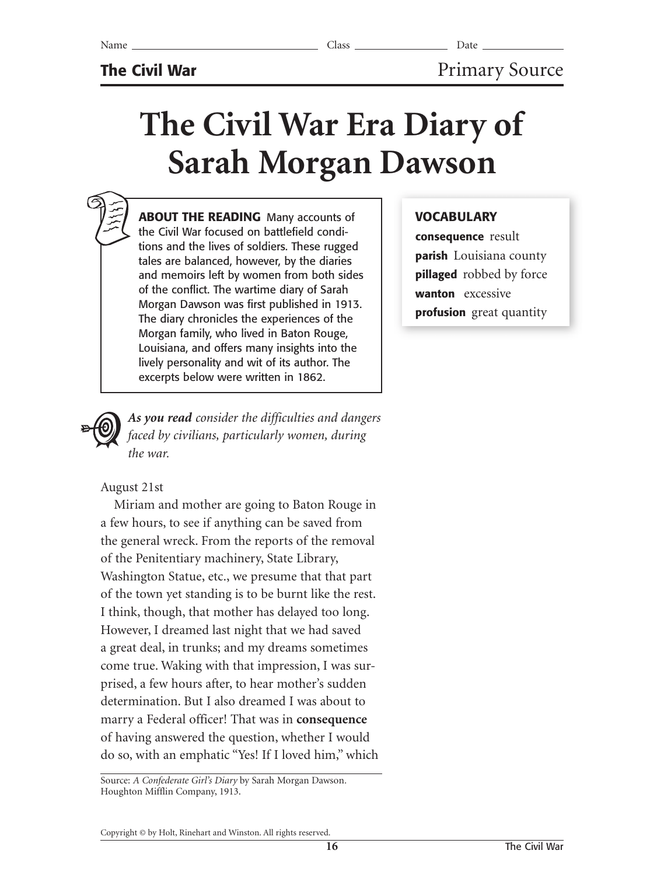# **The Civil War Era Diary of Sarah Morgan Dawson**

**ABOUT THE READING** Many accounts of the Civil War focused on battlefield conditions and the lives of soldiers. These rugged tales are balanced, however, by the diaries and memoirs left by women from both sides of the conflict. The wartime diary of Sarah Morgan Dawson was first published in 1913. The diary chronicles the experiences of the Morgan family, who lived in Baton Rouge, Louisiana, and offers many insights into the lively personality and wit of its author. The excerpts below were written in 1862.

## *As you read consider the difficulties and dangers faced by civilians, particularly women, during the war.*

### August 21st

Miriam and mother are going to Baton Rouge in a few hours, to see if anything can be saved from the general wreck. From the reports of the removal of the Penitentiary machinery, State Library, Washington Statue, etc., we presume that that part of the town yet standing is to be burnt like the rest. I think, though, that mother has delayed too long. However, I dreamed last night that we had saved a great deal, in trunks; and my dreams sometimes come true. Waking with that impression, I was surprised, a few hours after, to hear mother's sudden determination. But I also dreamed I was about to marry a Federal officer! That was in **consequence** of having answered the question, whether I would do so, with an emphatic "Yes! If I loved him," which

Source: *A Confederate Girl's Diary* by Sarah Morgan Dawson*.*  Houghton Mifflin Company, 1913.

# **VOCABULARY**

**consequence** result **parish** Louisiana county **pillaged** robbed by force **wanton** excessive **profusion** great quantity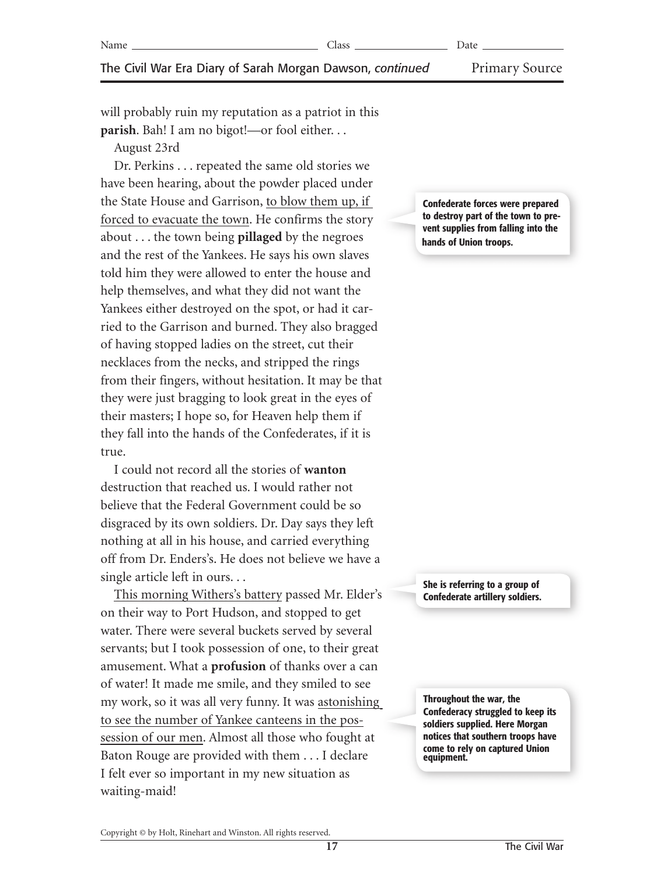#### The Civil War Era Diary of Sarah Morgan Dawson, *continued* Primary Source

will probably ruin my reputation as a patriot in this **parish**. Bah! I am no bigot!—or fool either. . .

August 23rd

Dr. Perkins . . . repeated the same old stories we have been hearing, about the powder placed under the State House and Garrison, to blow them up, if forced to evacuate the town. He confirms the story about . . . the town being **pillaged** by the negroes and the rest of the Yankees. He says his own slaves told him they were allowed to enter the house and help themselves, and what they did not want the Yankees either destroyed on the spot, or had it carried to the Garrison and burned. They also bragged of having stopped ladies on the street, cut their necklaces from the necks, and stripped the rings from their fingers, without hesitation. It may be that they were just bragging to look great in the eyes of their masters; I hope so, for Heaven help them if they fall into the hands of the Confederates, if it is true.

I could not record all the stories of **wanton** destruction that reached us. I would rather not believe that the Federal Government could be so disgraced by its own soldiers. Dr. Day says they left nothing at all in his house, and carried everything off from Dr. Enders's. He does not believe we have a single article left in ours. . .

This morning Withers's battery passed Mr. Elder's on their way to Port Hudson, and stopped to get water. There were several buckets served by several servants; but I took possession of one, to their great amusement. What a **profusion** of thanks over a can of water! It made me smile, and they smiled to see my work, so it was all very funny. It was astonishing to see the number of Yankee canteens in the possession of our men. Almost all those who fought at Baton Rouge are provided with them . . . I declare I felt ever so important in my new situation as waiting-maid!

**Confederate forces were prepared to destroy part of the town to prevent supplies from falling into the hands of Union troops.**

**She is referring to a group of Confederate artillery soldiers.**

**Throughout the war, the Confederacy struggled to keep its soldiers supplied. Here Morgan notices that southern troops have come to rely on captured Union equipment.**